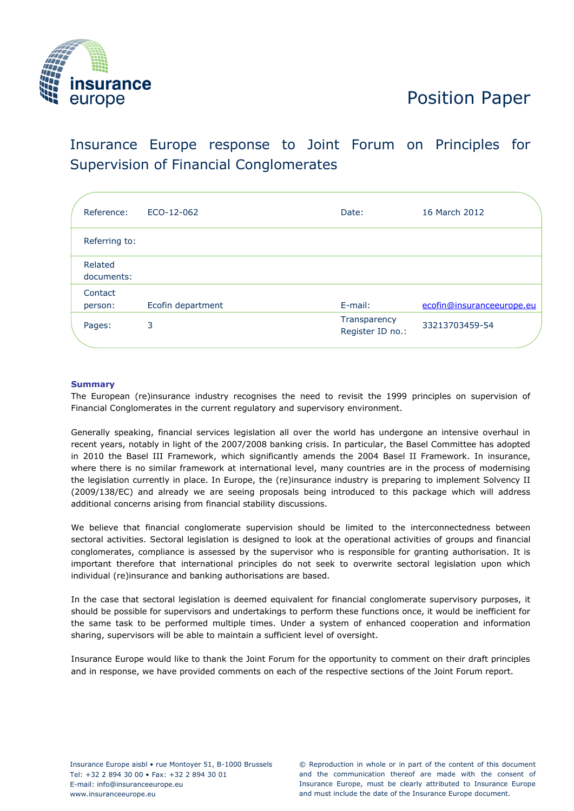

# Position Paper

# Insurance Europe response to Joint Forum on Principles for Supervision of Financial Conglomerates

| Reference:            | ECO-12-062        | Date:                            | 16 March 2012             |
|-----------------------|-------------------|----------------------------------|---------------------------|
| Referring to:         |                   |                                  |                           |
| Related<br>documents: |                   |                                  |                           |
| Contact               |                   |                                  |                           |
| person:               | Ecofin department | E-mail:                          | ecofin@insuranceeurope.eu |
| Pages:                | 3                 | Transparency<br>Register ID no.: | 33213703459-54            |
|                       |                   |                                  |                           |

# **Summary**

The European (re)insurance industry recognises the need to revisit the 1999 principles on supervision of Financial Conglomerates in the current regulatory and supervisory environment.

Generally speaking, financial services legislation all over the world has undergone an intensive overhaul in recent years, notably in light of the 2007/2008 banking crisis. In particular, the Basel Committee has adopted in 2010 the Basel III Framework, which significantly amends the 2004 Basel II Framework. In insurance, where there is no similar framework at international level, many countries are in the process of modernising the legislation currently in place. In Europe, the (re)insurance industry is preparing to implement Solvency II (2009/138/EC) and already we are seeing proposals being introduced to this package which will address additional concerns arising from financial stability discussions.

We believe that financial conglomerate supervision should be limited to the interconnectedness between sectoral activities. Sectoral legislation is designed to look at the operational activities of groups and financial conglomerates, compliance is assessed by the supervisor who is responsible for granting authorisation. It is important therefore that international principles do not seek to overwrite sectoral legislation upon which individual (re)insurance and banking authorisations are based.

In the case that sectoral legislation is deemed equivalent for financial conglomerate supervisory purposes, it should be possible for supervisors and undertakings to perform these functions once, it would be inefficient for the same task to be performed multiple times. Under a system of enhanced cooperation and information sharing, supervisors will be able to maintain a sufficient level of oversight.

Insurance Europe would like to thank the Joint Forum for the opportunity to comment on their draft principles and in response, we have provided comments on each of the respective sections of the Joint Forum report.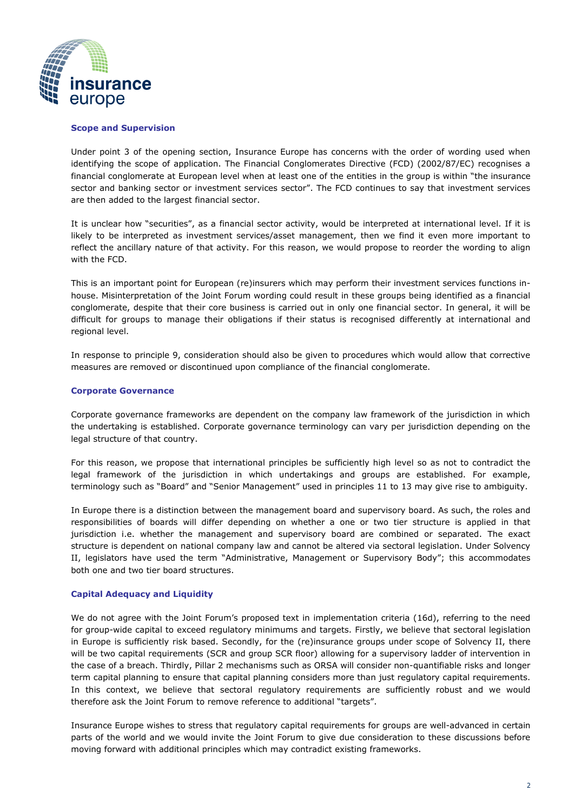

# **Scope and Supervision**

Under point 3 of the opening section, Insurance Europe has concerns with the order of wording used when identifying the scope of application. The Financial Conglomerates Directive (FCD) (2002/87/EC) recognises a financial conglomerate at European level when at least one of the entities in the group is within "the insurance sector and banking sector or investment services sector". The FCD continues to say that investment services are then added to the largest financial sector.

It is unclear how "securities", as a financial sector activity, would be interpreted at international level. If it is likely to be interpreted as investment services/asset management, then we find it even more important to reflect the ancillary nature of that activity. For this reason, we would propose to reorder the wording to align with the FCD.

This is an important point for European (re)insurers which may perform their investment services functions inhouse. Misinterpretation of the Joint Forum wording could result in these groups being identified as a financial conglomerate, despite that their core business is carried out in only one financial sector. In general, it will be difficult for groups to manage their obligations if their status is recognised differently at international and regional level.

In response to principle 9, consideration should also be given to procedures which would allow that corrective measures are removed or discontinued upon compliance of the financial conglomerate.

# **Corporate Governance**

Corporate governance frameworks are dependent on the company law framework of the jurisdiction in which the undertaking is established. Corporate governance terminology can vary per jurisdiction depending on the legal structure of that country.

For this reason, we propose that international principles be sufficiently high level so as not to contradict the legal framework of the jurisdiction in which undertakings and groups are established. For example, terminology such as "Board" and "Senior Management" used in principles 11 to 13 may give rise to ambiguity.

In Europe there is a distinction between the management board and supervisory board. As such, the roles and responsibilities of boards will differ depending on whether a one or two tier structure is applied in that jurisdiction i.e. whether the management and supervisory board are combined or separated. The exact structure is dependent on national company law and cannot be altered via sectoral legislation. Under Solvency II, legislators have used the term "Administrative, Management or Supervisory Body"; this accommodates both one and two tier board structures.

# **Capital Adequacy and Liquidity**

We do not agree with the Joint Forum's proposed text in implementation criteria (16d), referring to the need for group-wide capital to exceed regulatory minimums and targets. Firstly, we believe that sectoral legislation in Europe is sufficiently risk based. Secondly, for the (re)insurance groups under scope of Solvency II, there will be two capital requirements (SCR and group SCR floor) allowing for a supervisory ladder of intervention in the case of a breach. Thirdly, Pillar 2 mechanisms such as ORSA will consider non-quantifiable risks and longer term capital planning to ensure that capital planning considers more than just regulatory capital requirements. In this context, we believe that sectoral regulatory requirements are sufficiently robust and we would therefore ask the Joint Forum to remove reference to additional "targets".

Insurance Europe wishes to stress that regulatory capital requirements for groups are well-advanced in certain parts of the world and we would invite the Joint Forum to give due consideration to these discussions before moving forward with additional principles which may contradict existing frameworks.